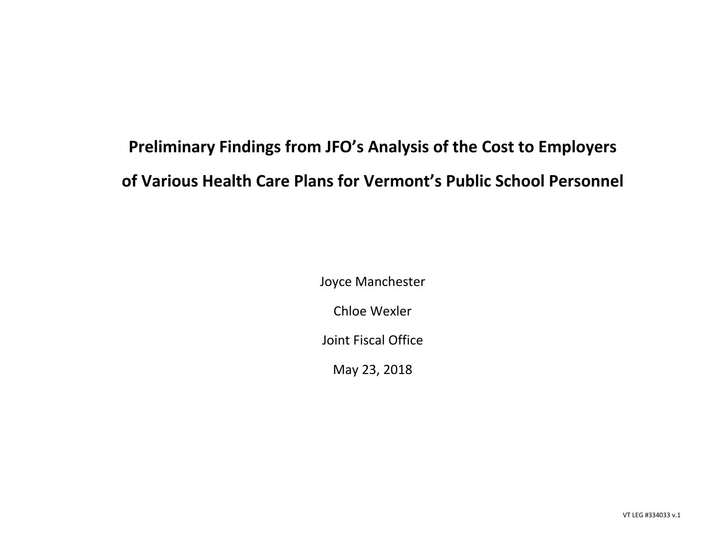## **Preliminary Findings from JFO's Analysis of the Cost to Employers of Various Health Care Plans for Vermont's Public School Personnel**

Joyce Manchester

Chloe Wexler

Joint Fiscal Office

May 23, 2018